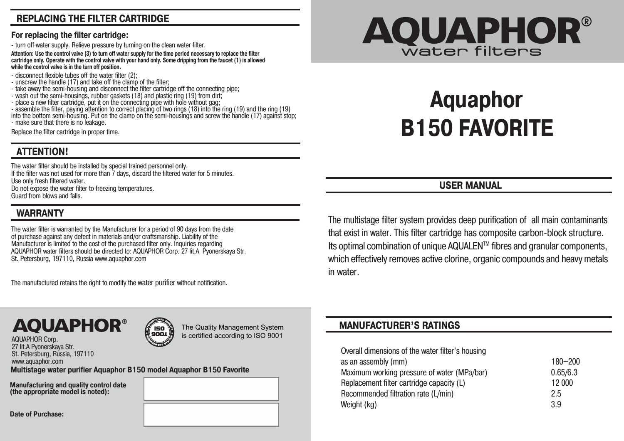# **REPLACING THE FILTER CARTRIDGE**

#### **For replacing the filter cartridge:**

- turn off water supply. Relieve pressure by turning on the clean water filter.

**Attention: Use the control valve (3) to turn off water supply for the time period necessary to replace the filter cartridge only. Operate with the control valve with your hand only. Some dripping from the faucet (1) is allowed while the control valve is in the turn off position.** 

- disconnect flexible tubes off the water filter (2);
- unscrew the handle (17) and take off the clamp of the filter;
- take away the semi-housing and disconnect the filter cartridge off the connecting pipe;
- wash out the semi-housings, rubber gaskets (18) and plastic ring (19) from dirt;
- place a new filter cartridge, put it on the connecting pipe with hole without gag;

- assemble the filter, paying attention to correct placing of two rings (18) into the ring (19) and the ring (19) into the bottom semi-housing. Put on the clamp on the semi-housings and screw the handle (17) against stop; - make sure that there is no leakage.

Replace the filter cartridge in proper time.

## **ATTENTION!**

The water filter should be installed by special trained personnel only. If the filter was not used for more than 7 days, discard the filtered water for 5 minutes. Use only fresh filtered water. Do not expose the water filter to freezing temperatures. Guard from blows and falls.

# **WARRANTY**

The water filter is warranted by the Manufacturer for a period of 90 days from the date of purchase against any defect in materials and/or craftsmanship. Liability of the Manufacturer is limited to the cost of the purchased filter only. Inquiries regarding AQUAPHOR water filters should be directed to: AQUAPHOR Corp. 27 lit.A Pyonerskaya Str. St. Petersburg, 197110, Russia www.aquaphor.com

The manufactured retains the right to modify the water purifier without notification.

# **AQUAPHOR®**

# **Aquaphor B150 FAVORITE**

**USER MANUAL** 

The multistage filter system provides deep purification of all main contaminants that exist in water. This filter cartridge has composite carbon-block structure. Its optimal combination of unique AQUALEN™ fibres and granular components, which effectively removes active clorine, organic compounds and heavy metals in water.

#### **MANUFACTURER'S RATINGS**

| Overall dimensions of the water filter's housing |             |
|--------------------------------------------------|-------------|
| as an assembly (mm)                              | $180 - 200$ |
| Maximum working pressure of water (MPa/bar)      | 0.65/6.3    |
| Replacement filter cartridge capacity (L)        | 12 000      |
| Recommended filtration rate (L/min)              | 2.5         |
| Weight (kg)                                      | 39          |



The Quality Management System is certified according to ISO 9001

**Multistage water purifier Aquaphor B150 model Aquaphor B150 Favorite** www.aquaphor.com

/ ISO<br>9001

**Manufacturing and quality control date (the appropriate model is noted):**

**Date of Purchase:**

AQUAPHOR Corp. 27 lit.A Pyonerskaya Str. St. Petersburg, Russia, 197110